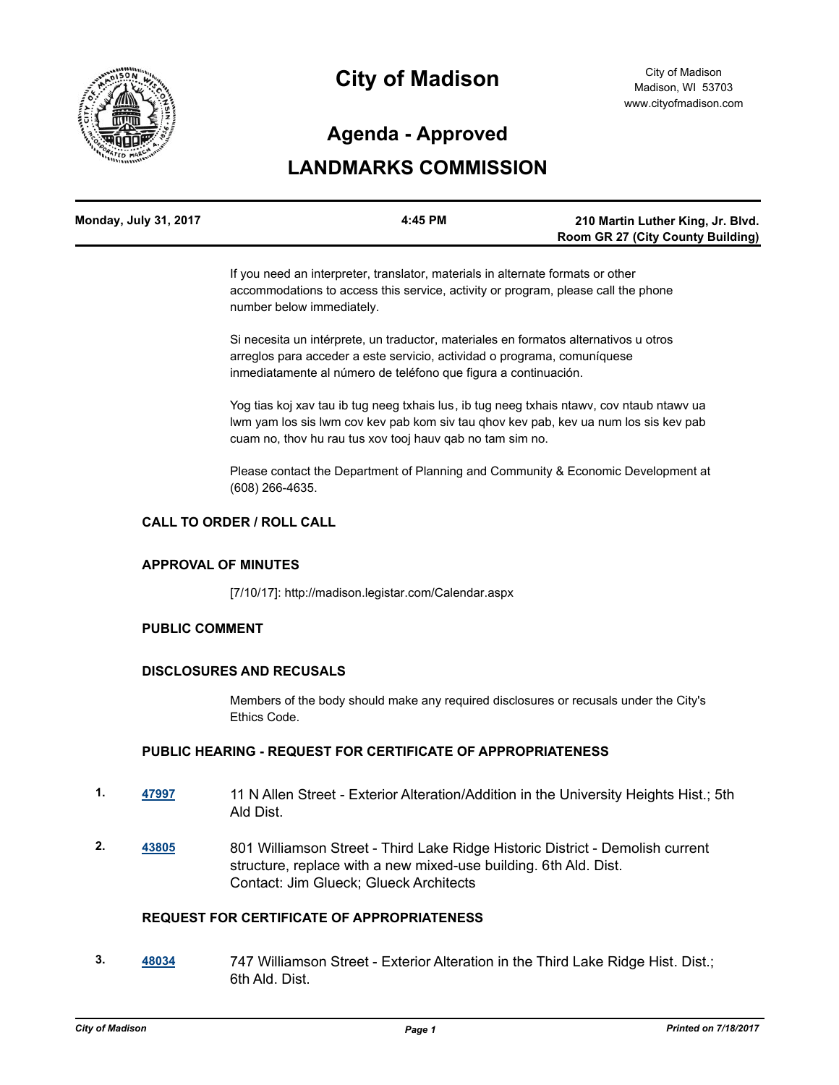

# **City of Madison**

# **Agenda - Approved**

# **LANDMARKS COMMISSION**

| Monday, July 31, 2017 | 4:45 PM | 210 Martin Luther King, Jr. Blvd.        |
|-----------------------|---------|------------------------------------------|
|                       |         | <b>Room GR 27 (City County Building)</b> |

If you need an interpreter, translator, materials in alternate formats or other accommodations to access this service, activity or program, please call the phone number below immediately.

Si necesita un intérprete, un traductor, materiales en formatos alternativos u otros arreglos para acceder a este servicio, actividad o programa, comuníquese inmediatamente al número de teléfono que figura a continuación.

Yog tias koj xav tau ib tug neeg txhais lus, ib tug neeg txhais ntawv, cov ntaub ntawv ua lwm yam los sis lwm cov kev pab kom siv tau qhov kev pab, kev ua num los sis kev pab cuam no, thov hu rau tus xov tooj hauv qab no tam sim no.

Please contact the Department of Planning and Community & Economic Development at (608) 266-4635.

# **CALL TO ORDER / ROLL CALL**

## **APPROVAL OF MINUTES**

[7/10/17]: http://madison.legistar.com/Calendar.aspx

# **PUBLIC COMMENT**

#### **DISCLOSURES AND RECUSALS**

Members of the body should make any required disclosures or recusals under the City's Ethics Code.

### **PUBLIC HEARING - REQUEST FOR CERTIFICATE OF APPROPRIATENESS**

- **1. [47997](http://madison.legistar.com/gateway.aspx?m=l&id=/matter.aspx?key=51935)** 11 N Allen Street Exterior Alteration/Addition in the University Heights Hist.; 5th Ald Dist.
- **2. [43805](http://madison.legistar.com/gateway.aspx?m=l&id=/matter.aspx?key=48011)** 801 Williamson Street Third Lake Ridge Historic District Demolish current structure, replace with a new mixed-use building. 6th Ald. Dist. Contact: Jim Glueck; Glueck Architects

## **REQUEST FOR CERTIFICATE OF APPROPRIATENESS**

**3. [48034](http://madison.legistar.com/gateway.aspx?m=l&id=/matter.aspx?key=51972)** 747 Williamson Street - Exterior Alteration in the Third Lake Ridge Hist. Dist.; 6th Ald. Dist.